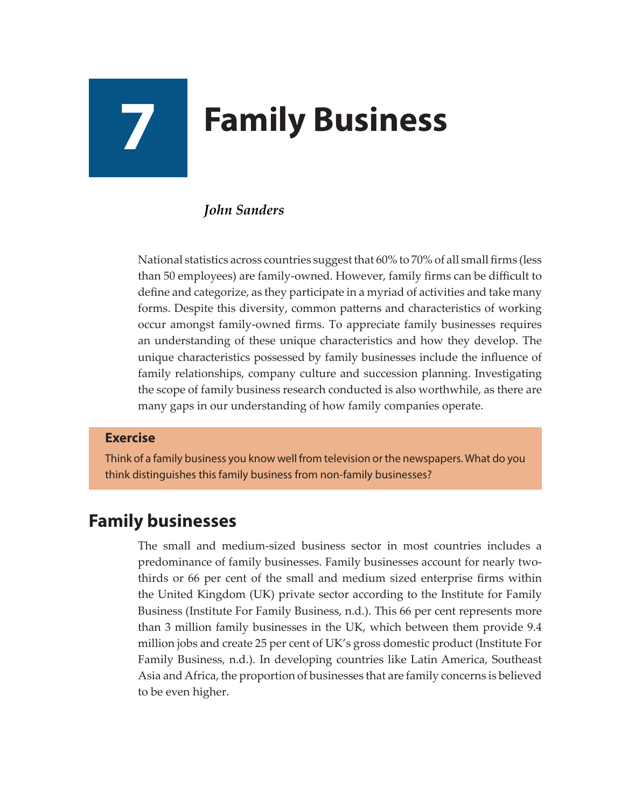# **7 Family Business**

### *John Sanders*

National statistics across countries suggest that 60% to 70% of all small firms (less than 50 employees) are family-owned. However, family firms can be difficult to define and categorize, as they participate in a myriad of activities and take many forms. Despite this diversity, common patterns and characteristics of working occur amongst family-owned firms. To appreciate family businesses requires an understanding of these unique characteristics and how they develop. The unique characteristics possessed by family businesses include the influence of family relationships, company culture and succession planning. Investigating the scope of family business research conducted is also worthwhile, as there are many gaps in our understanding of how family companies operate.

#### **Exercise**

Think of a family business you know well from television or the newspapers. What do you think distinguishes this family business from non-family businesses?

## **Family businesses**

The small and medium-sized business sector in most countries includes a predominance of family businesses. Family businesses account for nearly twothirds or 66 per cent of the small and medium sized enterprise firms within the United Kingdom (UK) private sector according to the Institute for Family Business (Institute For Family Business, n.d.). This 66 per cent represents more than 3 million family businesses in the UK, which between them provide 9.4 million jobs and create 25 per cent of UK's gross domestic product (Institute For Family Business, n.d.). In developing countries like Latin America, Southeast Asia and Africa, the proportion of businesses that are family concerns is believed to be even higher.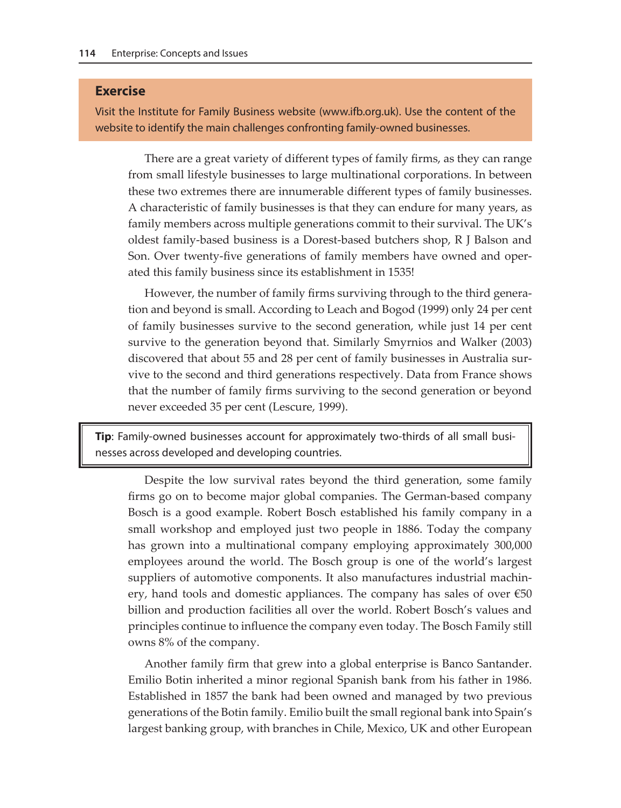#### **Exercise**

Visit the Institute for Family Business website [\(www.ifb.org.uk](http://www.ifb.org.uk)). Use the content of the website to identify the main challenges confronting family-owned businesses.

There are a great variety of different types of family firms, as they can range from small lifestyle businesses to large multinational corporations. In between these two extremes there are innumerable different types of family businesses. A characteristic of family businesses is that they can endure for many years, as family members across multiple generations commit to their survival. The UK's oldest family-based business is a Dorest-based butchers shop, R J Balson and Son. Over twenty-five generations of family members have owned and operated this family business since its establishment in 1535!

However, the number of family firms surviving through to the third generation and beyond is small. According to Leach and Bogod (1999) only 24 per cent of family businesses survive to the second generation, while just 14 per cent survive to the generation beyond that. Similarly Smyrnios and Walker (2003) discovered that about 55 and 28 per cent of family businesses in Australia survive to the second and third generations respectively. Data from France shows that the number of family firms surviving to the second generation or beyond never exceeded 35 per cent (Lescure, 1999).

**Tip**: Family-owned businesses account for approximately two-thirds of all small businesses across developed and developing countries.

Despite the low survival rates beyond the third generation, some family firms go on to become major global companies. The German-based company Bosch is a good example. Robert Bosch established his family company in a small workshop and employed just two people in 1886. Today the company has grown into a multinational company employing approximately 300,000 employees around the world. The Bosch group is one of the world's largest suppliers of automotive components. It also manufactures industrial machinery, hand tools and domestic appliances. The company has sales of over €50 billion and production facilities all over the world. Robert Bosch's values and principles continue to influence the company even today. The Bosch Family still owns 8% of the company.

Another family firm that grew into a global enterprise is Banco Santander. Emilio Botin inherited a minor regional Spanish bank from his father in 1986. Established in 1857 the bank had been owned and managed by two previous generations of the Botin family. Emilio built the small regional bank into Spain's largest banking group, with branches in Chile, Mexico, UK and other European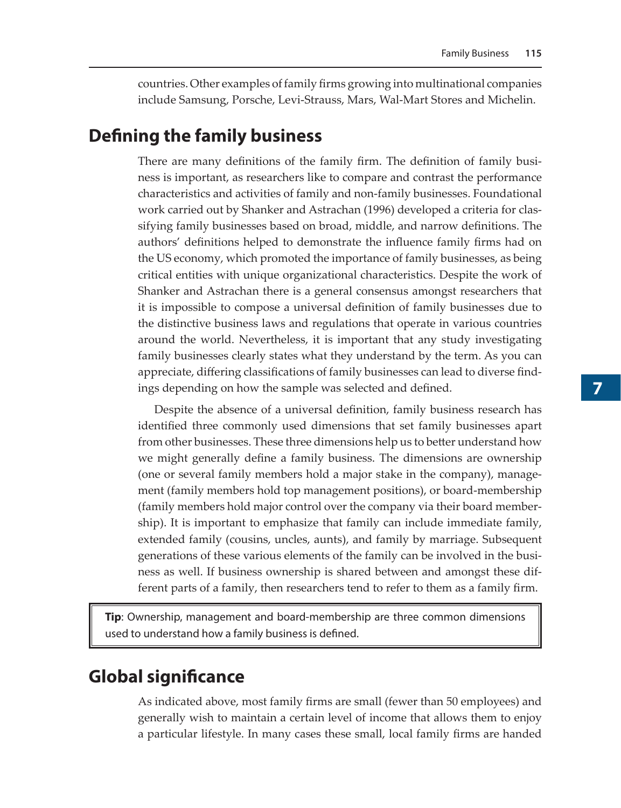countries. Other examples of family firms growing into multinational companies include Samsung, Porsche, Levi-Strauss, Mars, Wal-Mart Stores and Michelin.

## **Defining the family business**

There are many definitions of the family firm. The definition of family business is important, as researchers like to compare and contrast the performance characteristics and activities of family and non-family businesses. Foundational work carried out by Shanker and Astrachan (1996) developed a criteria for classifying family businesses based on broad, middle, and narrow definitions. The authors' definitions helped to demonstrate the influence family firms had on the US economy, which promoted the importance of family businesses, as being critical entities with unique organizational characteristics. Despite the work of Shanker and Astrachan there is a general consensus amongst researchers that it is impossible to compose a universal definition of family businesses due to the distinctive business laws and regulations that operate in various countries around the world. Nevertheless, it is important that any study investigating family businesses clearly states what they understand by the term. As you can appreciate, differing classifications of family businesses can lead to diverse findings depending on how the sample was selected and defined.

Despite the absence of a universal definition, family business research has identified three commonly used dimensions that set family businesses apart from other businesses. These three dimensions help us to better understand how we might generally define a family business. The dimensions are ownership (one or several family members hold a major stake in the company), management (family members hold top management positions), or board-membership (family members hold major control over the company via their board membership). It is important to emphasize that family can include immediate family, extended family (cousins, uncles, aunts), and family by marriage. Subsequent generations of these various elements of the family can be involved in the business as well. If business ownership is shared between and amongst these different parts of a family, then researchers tend to refer to them as a family firm.

**Tip**: Ownership, management and board-membership are three common dimensions used to understand how a family business is defined.

# **Global significance**

As indicated above, most family firms are small (fewer than 50 employees) and generally wish to maintain a certain level of income that allows them to enjoy a particular lifestyle. In many cases these small, local family firms are handed